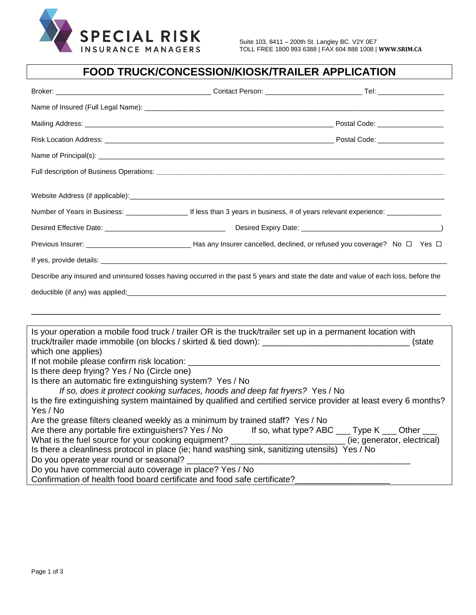

## **FOOD TRUCK/CONCESSION/KIOSK/TRAILER APPLICATION**

| Previous Insurer: ________________________________Has any Insurer cancelled, declined, or refused you coverage? No □ Yes □          |  |  |  |  |
|-------------------------------------------------------------------------------------------------------------------------------------|--|--|--|--|
|                                                                                                                                     |  |  |  |  |
| Describe any insured and uninsured losses having occurred in the past 5 years and state the date and value of each loss, before the |  |  |  |  |
|                                                                                                                                     |  |  |  |  |
|                                                                                                                                     |  |  |  |  |
|                                                                                                                                     |  |  |  |  |
| Is your operation a mobile food truck / trailer OR is the truck/trailer set up in a permanent location with                         |  |  |  |  |
|                                                                                                                                     |  |  |  |  |
| which one applies)                                                                                                                  |  |  |  |  |
| Is there deep frying? Yes / No (Circle one)                                                                                         |  |  |  |  |
| Is there an automatic fire extinguishing system? Yes / No                                                                           |  |  |  |  |
| If so, does it protect cooking surfaces, hoods and deep fat fryers? Yes / No                                                        |  |  |  |  |
| Is the fire extinguishing system maintained by qualified and certified service provider at least every 6 months?                    |  |  |  |  |
| Yes / No                                                                                                                            |  |  |  |  |
| Are the grease filters cleaned weekly as a minimum by trained staff? Yes / No                                                       |  |  |  |  |
| Are there any portable fire extinguishers? Yes / No If so, what type? ABC ___ Type K ___ Other __                                   |  |  |  |  |
|                                                                                                                                     |  |  |  |  |
| Is there a cleanliness protocol in place (ie; hand washing sink, sanitizing utensils) Yes / No                                      |  |  |  |  |
| Do you operate year round or seasonal? __________                                                                                   |  |  |  |  |
| Do you have commercial auto coverage in place? Yes / No                                                                             |  |  |  |  |
| Confirmation of health food board certificate and food safe certificate?                                                            |  |  |  |  |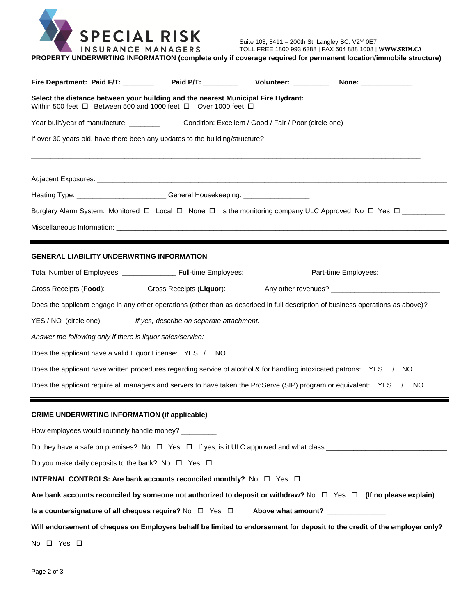

| PROPERTY UNDERWRTING INFORMATION (complete only if coverage required for permanent location/immobile structure) |  |  |  |
|-----------------------------------------------------------------------------------------------------------------|--|--|--|
|                                                                                                                 |  |  |  |

| Fire Department: Paid F/T: __________ Paid P/T: _________                                                                                                          |                                          | Volunteer: _________ | None: ______________                                                                                                      |  |  |
|--------------------------------------------------------------------------------------------------------------------------------------------------------------------|------------------------------------------|----------------------|---------------------------------------------------------------------------------------------------------------------------|--|--|
| Select the distance between your building and the nearest Municipal Fire Hydrant:<br>Within 500 feet $\Box$ Between 500 and 1000 feet $\Box$ Over 1000 feet $\Box$ |                                          |                      |                                                                                                                           |  |  |
|                                                                                                                                                                    |                                          |                      |                                                                                                                           |  |  |
| If over 30 years old, have there been any updates to the building/structure?                                                                                       |                                          |                      |                                                                                                                           |  |  |
|                                                                                                                                                                    |                                          |                      |                                                                                                                           |  |  |
| Heating Type: ___________________________General Housekeeping: _________________                                                                                   |                                          |                      |                                                                                                                           |  |  |
|                                                                                                                                                                    |                                          |                      | Burglary Alarm System: Monitored □ Local □ None □ Is the monitoring company ULC Approved No □ Yes □                       |  |  |
| <b>GENERAL LIABILITY UNDERWRTING INFORMATION</b>                                                                                                                   |                                          |                      |                                                                                                                           |  |  |
|                                                                                                                                                                    |                                          |                      |                                                                                                                           |  |  |
|                                                                                                                                                                    |                                          |                      | Gross Receipts (Food): Cross Receipts (Liquor): Cambridge Any other revenues? Contract Cross Receipts (Food):             |  |  |
| Does the applicant engage in any other operations (other than as described in full description of business operations as above)?                                   |                                          |                      |                                                                                                                           |  |  |
| YES / NO (circle one)                                                                                                                                              | If yes, describe on separate attachment. |                      |                                                                                                                           |  |  |
| Answer the following only if there is liquor sales/service:                                                                                                        |                                          |                      |                                                                                                                           |  |  |
| Does the applicant have a valid Liquor License: YES /                                                                                                              | -NO                                      |                      |                                                                                                                           |  |  |
| Does the applicant have written procedures regarding service of alcohol & for handling intoxicated patrons: YES / NO                                               |                                          |                      |                                                                                                                           |  |  |
| Does the applicant require all managers and servers to have taken the ProServe (SIP) program or equivalent: YES<br><b>NO</b>                                       |                                          |                      |                                                                                                                           |  |  |
| <b>CRIME UNDERWRTING INFORMATION (if applicable)</b>                                                                                                               |                                          |                      |                                                                                                                           |  |  |
| How employees would routinely handle money? _________                                                                                                              |                                          |                      |                                                                                                                           |  |  |
|                                                                                                                                                                    |                                          |                      |                                                                                                                           |  |  |
| Do you make daily deposits to the bank? No $\Box$ Yes $\Box$                                                                                                       |                                          |                      |                                                                                                                           |  |  |
| <b>INTERNAL CONTROLS: Are bank accounts reconciled monthly?</b> No □ Yes □                                                                                         |                                          |                      |                                                                                                                           |  |  |
| Are bank accounts reconciled by someone not authorized to deposit or withdraw? No $\Box$ Yes $\Box$ (If no please explain)                                         |                                          |                      |                                                                                                                           |  |  |
| Is a countersignature of all cheques require? No $\Box$ Yes $\Box$<br>Above what amount?                                                                           |                                          |                      |                                                                                                                           |  |  |
|                                                                                                                                                                    |                                          |                      | Will endorsement of cheques on Employers behalf be limited to endorsement for deposit to the credit of the employer only? |  |  |
| No $\Box$ Yes $\Box$                                                                                                                                               |                                          |                      |                                                                                                                           |  |  |